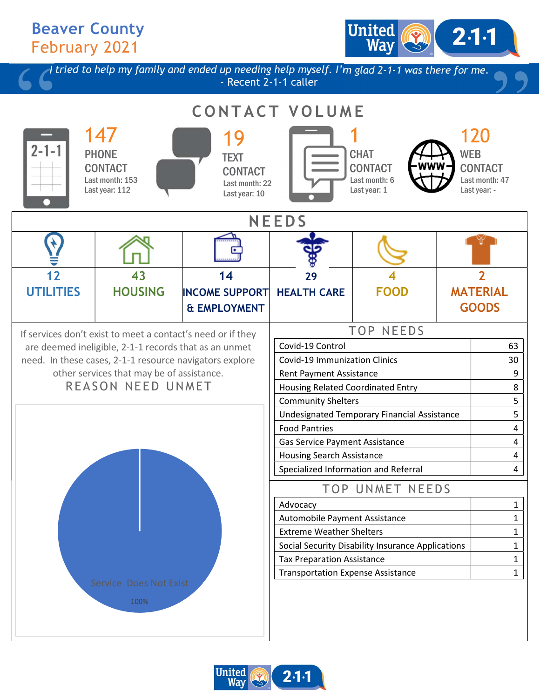## Beaver County February 2021

I tried to help my family and ended up needing help myself. I'm glad 2-1-1 was there for me. - Recent 2-1-1 caller CONTACT VOLUME 147 PHONE **CONTACT** Last month: 153 Last year: 112 19 **TEXT CONTACT** Last month: 22 Last year: 10 1 **CHAT** CONTACT Last month: 6 Last year: 1 120 WEB **CONTACT** Last month: 47 Last year: - **NEEDS** 12 **UTILITIES** 43 **HOUSING** 14 INCOME SUPPORT & EMPLOYMENT 29 HEALTH CARE 4 FOOD 2 MATERIAL GOODS If services don't exist to meet a contact's need or if they are deemed ineligible, 2-1-1 records that as an unmet need. In these cases, 2-1-1 resource navigators explore other services that may be of assistance. REASON NEED UNMET TOP NEEDS Covid-19 Control 63 Covid-19 Immunization Clinics 30 Rent Payment Assistance **9 9** Housing Related Coordinated Entry **8** Community Shelters **5** Undesignated Temporary Financial Assistance 5 Food Pantries 4 Gas Service Payment Assistance **Acceleration** 4 Housing Search Assistance **4** and 4 Specialized Information and Referral 4 TOP UNMET NEEDS Advocacy and the state of the state of the state of the state of the state of the state of the state of the state of the state of the state of the state of the state of the state of the state of the state of the state of t Automobile Payment Assistance 1 Extreme Weather Shelters 1 Social Security Disability Insurance Applications | The Matter Tax Preparation Assistance 1 and 1 Transportation Expense Assistance 1 100%

United

 $2.1 - 1$